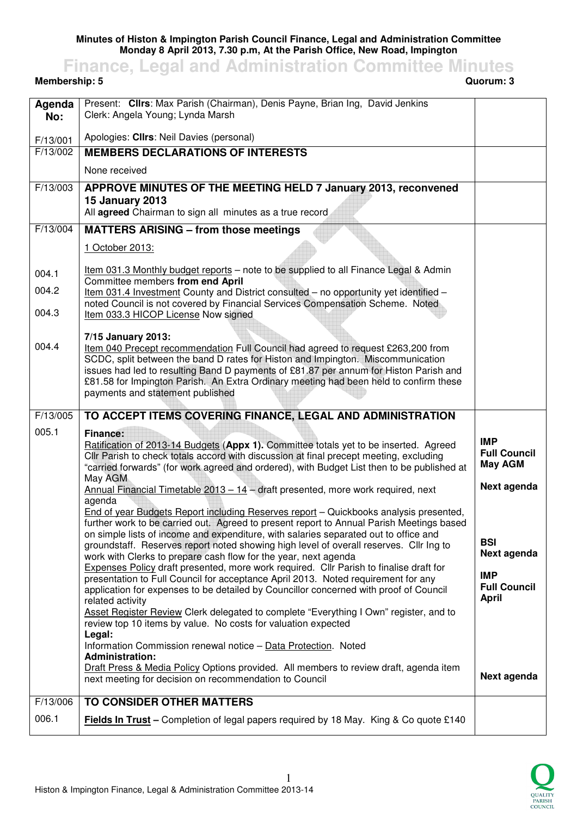## **Minutes of Histon & Impington Parish Council Finance, Legal and Administration Committee Monday 8 April 2013, 7.30 p.m, At the Parish Office, New Road, Impington**

**Finance, Legal and Administration Committee Minutes**

**Membership: 5** 

| Agenda<br>No:        | Present: Cllrs: Max Parish (Chairman), Denis Payne, Brian Ing, David Jenkins<br>Clerk: Angela Young; Lynda Marsh                                                                  |                                   |
|----------------------|-----------------------------------------------------------------------------------------------------------------------------------------------------------------------------------|-----------------------------------|
|                      |                                                                                                                                                                                   |                                   |
| F/13/001<br>F/13/002 | Apologies: Cllrs: Neil Davies (personal)<br><b>MEMBERS DECLARATIONS OF INTERESTS</b>                                                                                              |                                   |
|                      | None received                                                                                                                                                                     |                                   |
| F/13/003             |                                                                                                                                                                                   |                                   |
|                      | APPROVE MINUTES OF THE MEETING HELD 7 January 2013, reconvened<br><b>15 January 2013</b>                                                                                          |                                   |
|                      | All agreed Chairman to sign all minutes as a true record                                                                                                                          |                                   |
| F/13/004             | <b>MATTERS ARISING - from those meetings</b>                                                                                                                                      |                                   |
|                      | 1 October 2013:                                                                                                                                                                   |                                   |
| 004.1                | Item 031.3 Monthly budget reports - note to be supplied to all Finance Legal & Admin                                                                                              |                                   |
| 004.2                | Committee members from end April                                                                                                                                                  |                                   |
|                      | Item 031.4 Investment County and District consulted - no opportunity yet identified -<br>noted Council is not covered by Financial Services Compensation Scheme. Noted            |                                   |
| 004.3                | Item 033.3 HICOP License Now signed                                                                                                                                               |                                   |
|                      | 7/15 January 2013:                                                                                                                                                                |                                   |
| 004.4                | Item 040 Precept recommendation Full Council had agreed to request £263,200 from<br>SCDC, split between the band D rates for Histon and Impington. Miscommunication               |                                   |
|                      | issues had led to resulting Band D payments of £81.87 per annum for Histon Parish and                                                                                             |                                   |
|                      | £81.58 for Impington Parish. An Extra Ordinary meeting had been held to confirm these<br>payments and statement published                                                         |                                   |
|                      |                                                                                                                                                                                   |                                   |
| F/13/005             | TO ACCEPT ITEMS COVERING FINANCE, LEGAL AND ADMINISTRATION                                                                                                                        |                                   |
|                      |                                                                                                                                                                                   |                                   |
| 005.1                | <b>Finance:</b>                                                                                                                                                                   |                                   |
|                      | Ratification of 2013-14 Budgets (Appx 1). Committee totals yet to be inserted. Agreed<br>Cllr Parish to check totals accord with discussion at final precept meeting, excluding   | <b>IMP</b><br><b>Full Council</b> |
|                      | "carried forwards" (for work agreed and ordered), with Budget List then to be published at                                                                                        | <b>May AGM</b>                    |
|                      | May AGM<br>Annual Financial Timetable $2013 - 14$ – draft presented, more work required, next                                                                                     | Next agenda                       |
|                      | agenda                                                                                                                                                                            |                                   |
|                      | End of year Budgets Report including Reserves report - Quickbooks analysis presented,<br>further work to be carried out. Agreed to present report to Annual Parish Meetings based |                                   |
|                      | on simple lists of income and expenditure, with salaries separated out to office and                                                                                              | <b>BSI</b>                        |
|                      | groundstaff. Reserves report noted showing high level of overall reserves. Cllr Ing to<br>work with Clerks to prepare cash flow for the year, next agenda                         | Next agenda                       |
|                      | Expenses Policy draft presented, more work required. Cllr Parish to finalise draft for                                                                                            | <b>IMP</b>                        |
|                      | presentation to Full Council for acceptance April 2013. Noted requirement for any<br>application for expenses to be detailed by Councillor concerned with proof of Council        | <b>Full Council</b>               |
|                      | related activity                                                                                                                                                                  | <b>April</b>                      |
|                      | Asset Register Review Clerk delegated to complete "Everything I Own" register, and to<br>review top 10 items by value. No costs for valuation expected                            |                                   |
|                      | Legal:<br>Information Commission renewal notice - Data Protection. Noted                                                                                                          |                                   |
|                      | <b>Administration:</b>                                                                                                                                                            |                                   |
|                      | <b>Draft Press &amp; Media Policy Options provided. All members to review draft, agenda item</b><br>next meeting for decision on recommendation to Council                        | Next agenda                       |
|                      |                                                                                                                                                                                   |                                   |
| F/13/006<br>006.1    | TO CONSIDER OTHER MATTERS<br>Fields In Trust - Completion of legal papers required by 18 May. King & Co quote £140                                                                |                                   |